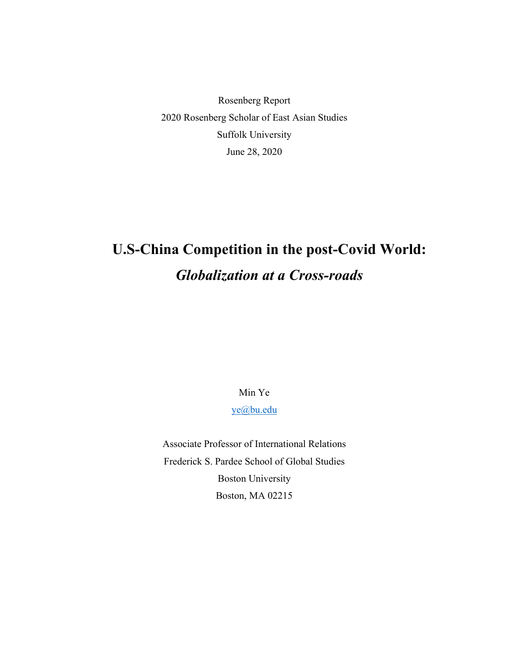Rosenberg Report 2020 Rosenberg Scholar of East Asian Studies Suffolk University June 28, 2020

# **U.S-China Competition in the post-Covid World:** *Globalization at a Cross-roads*

Min Ye

[ye@bu.edu](mailto:ye@bu.edu)

Associate Professor of International Relations Frederick S. Pardee School of Global Studies Boston University Boston, MA 02215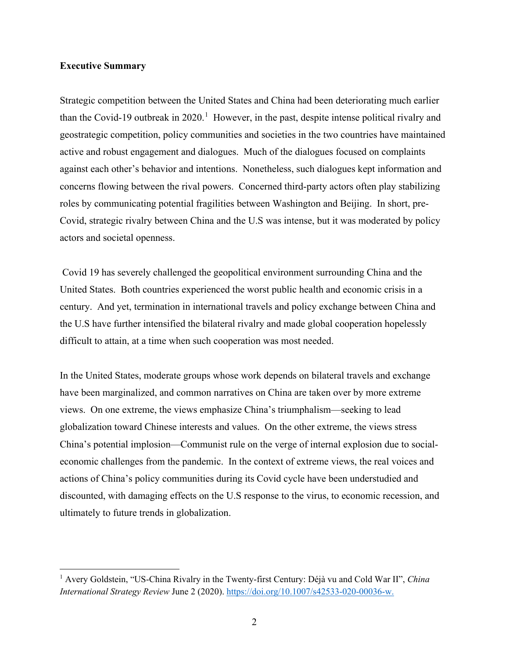# **Executive Summary**

Strategic competition between the United States and China had been deteriorating much earlier than the Covid-[1](#page-1-0)9 outbreak in 2020.<sup>1</sup> However, in the past, despite intense political rivalry and geostrategic competition, policy communities and societies in the two countries have maintained active and robust engagement and dialogues. Much of the dialogues focused on complaints against each other's behavior and intentions. Nonetheless, such dialogues kept information and concerns flowing between the rival powers. Concerned third-party actors often play stabilizing roles by communicating potential fragilities between Washington and Beijing. In short, pre-Covid, strategic rivalry between China and the U.S was intense, but it was moderated by policy actors and societal openness.

Covid 19 has severely challenged the geopolitical environment surrounding China and the United States. Both countries experienced the worst public health and economic crisis in a century. And yet, termination in international travels and policy exchange between China and the U.S have further intensified the bilateral rivalry and made global cooperation hopelessly difficult to attain, at a time when such cooperation was most needed.

In the United States, moderate groups whose work depends on bilateral travels and exchange have been marginalized, and common narratives on China are taken over by more extreme views. On one extreme, the views emphasize China's triumphalism—seeking to lead globalization toward Chinese interests and values. On the other extreme, the views stress China's potential implosion—Communist rule on the verge of internal explosion due to socialeconomic challenges from the pandemic. In the context of extreme views, the real voices and actions of China's policy communities during its Covid cycle have been understudied and discounted, with damaging effects on the U.S response to the virus, to economic recession, and ultimately to future trends in globalization.

<span id="page-1-0"></span><sup>1</sup> Avery Goldstein, "US-China Rivalry in the Twenty-first Century: Déjà vu and Cold War II", *China International Strategy Review* June 2 (2020). [https://doi.org/10.1007/s42533-020-00036-w.](https://doi.org/10.1007/s42533-020-00036-w)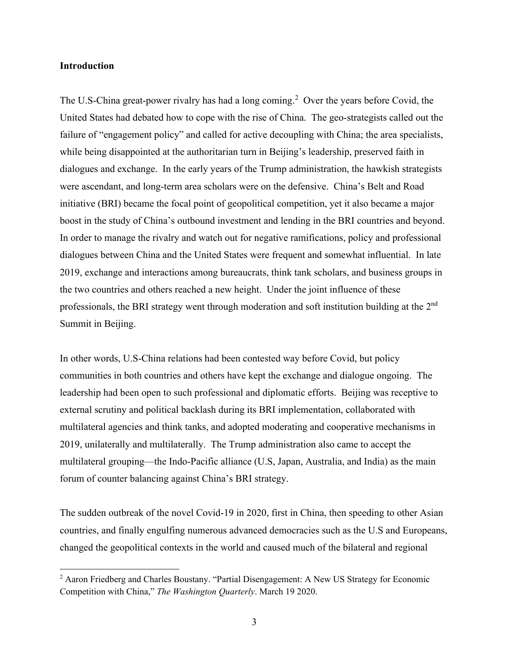# **Introduction**

The U.S-China great-power rivalry has had a long coming.<sup>[2](#page-2-0)</sup> Over the years before Covid, the United States had debated how to cope with the rise of China. The geo-strategists called out the failure of "engagement policy" and called for active decoupling with China; the area specialists, while being disappointed at the authoritarian turn in Beijing's leadership, preserved faith in dialogues and exchange. In the early years of the Trump administration, the hawkish strategists were ascendant, and long-term area scholars were on the defensive. China's Belt and Road initiative (BRI) became the focal point of geopolitical competition, yet it also became a major boost in the study of China's outbound investment and lending in the BRI countries and beyond. In order to manage the rivalry and watch out for negative ramifications, policy and professional dialogues between China and the United States were frequent and somewhat influential. In late 2019, exchange and interactions among bureaucrats, think tank scholars, and business groups in the two countries and others reached a new height. Under the joint influence of these professionals, the BRI strategy went through moderation and soft institution building at the 2nd Summit in Beijing.

In other words, U.S-China relations had been contested way before Covid, but policy communities in both countries and others have kept the exchange and dialogue ongoing. The leadership had been open to such professional and diplomatic efforts. Beijing was receptive to external scrutiny and political backlash during its BRI implementation, collaborated with multilateral agencies and think tanks, and adopted moderating and cooperative mechanisms in 2019, unilaterally and multilaterally. The Trump administration also came to accept the multilateral grouping—the Indo-Pacific alliance (U.S, Japan, Australia, and India) as the main forum of counter balancing against China's BRI strategy.

The sudden outbreak of the novel Covid-19 in 2020, first in China, then speeding to other Asian countries, and finally engulfing numerous advanced democracies such as the U.S and Europeans, changed the geopolitical contexts in the world and caused much of the bilateral and regional

<span id="page-2-0"></span><sup>&</sup>lt;sup>2</sup> Aaron Friedberg and Charles Boustany. "Partial Disengagement: A New US Strategy for Economic Competition with China," *The Washington Quarterly*. March 19 2020.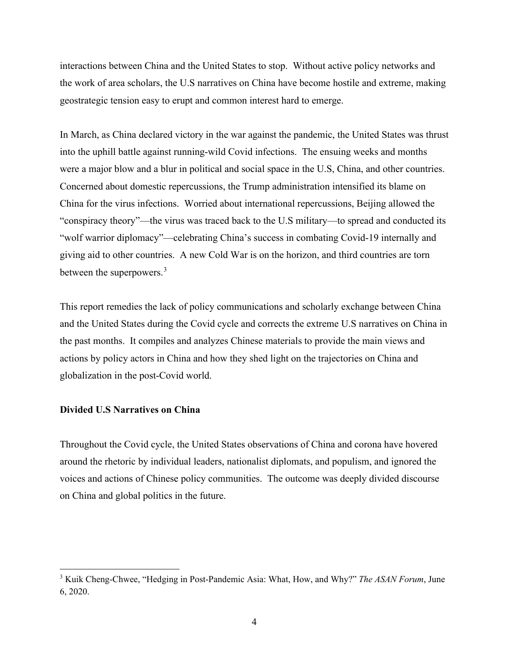interactions between China and the United States to stop. Without active policy networks and the work of area scholars, the U.S narratives on China have become hostile and extreme, making geostrategic tension easy to erupt and common interest hard to emerge.

In March, as China declared victory in the war against the pandemic, the United States was thrust into the uphill battle against running-wild Covid infections. The ensuing weeks and months were a major blow and a blur in political and social space in the U.S, China, and other countries. Concerned about domestic repercussions, the Trump administration intensified its blame on China for the virus infections. Worried about international repercussions, Beijing allowed the "conspiracy theory"—the virus was traced back to the U.S military—to spread and conducted its "wolf warrior diplomacy"—celebrating China's success in combating Covid-19 internally and giving aid to other countries. A new Cold War is on the horizon, and third countries are torn between the superpowers.<sup>[3](#page-3-0)</sup>

This report remedies the lack of policy communications and scholarly exchange between China and the United States during the Covid cycle and corrects the extreme U.S narratives on China in the past months. It compiles and analyzes Chinese materials to provide the main views and actions by policy actors in China and how they shed light on the trajectories on China and globalization in the post-Covid world.

#### **Divided U.S Narratives on China**

Throughout the Covid cycle, the United States observations of China and corona have hovered around the rhetoric by individual leaders, nationalist diplomats, and populism, and ignored the voices and actions of Chinese policy communities. The outcome was deeply divided discourse on China and global politics in the future.

<span id="page-3-0"></span><sup>3</sup> Kuik Cheng-Chwee, "Hedging in Post-Pandemic Asia: What, How, and Why?" *The ASAN Forum*, June 6, 2020.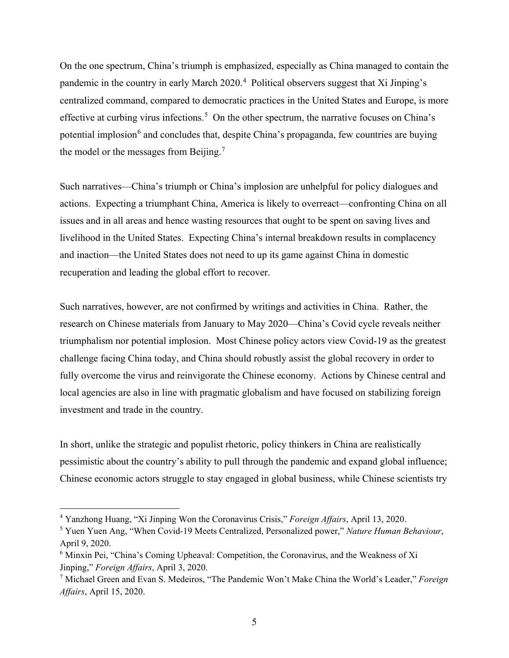On the one spectrum, China's triumph is emphasized, especially as China managed to contain the pandemic in the country in early March 2020.<sup>[4](#page-4-0)</sup> Political observers suggest that Xi Jinping's centralized command, compared to democratic practices in the United States and Europe, is more effective at curbing virus infections.<sup>[5](#page-4-1)</sup> On the other spectrum, the narrative focuses on China's potential implosion<sup>[6](#page-4-2)</sup> and concludes that, despite China's propaganda, few countries are buying the model or the messages from Beijing.<sup>[7](#page-4-3)</sup>

Such narratives—China's triumph or China's implosion are unhelpful for policy dialogues and actions. Expecting a triumphant China, America is likely to overreact—confronting China on all issues and in all areas and hence wasting resources that ought to be spent on saving lives and livelihood in the United States. Expecting China's internal breakdown results in complacency and inaction—the United States does not need to up its game against China in domestic recuperation and leading the global effort to recover.

Such narratives, however, are not confirmed by writings and activities in China. Rather, the research on Chinese materials from January to May 2020—China's Covid cycle reveals neither triumphalism nor potential implosion. Most Chinese policy actors view Covid-19 as the greatest challenge facing China today, and China should robustly assist the global recovery in order to fully overcome the virus and reinvigorate the Chinese economy. Actions by Chinese central and local agencies are also in line with pragmatic globalism and have focused on stabilizing foreign investment and trade in the country.

In short, unlike the strategic and populist rhetoric, policy thinkers in China are realistically pessimistic about the country's ability to pull through the pandemic and expand global influence; Chinese economic actors struggle to stay engaged in global business, while Chinese scientists try

<span id="page-4-0"></span><sup>4</sup> Yanzhong Huang, "Xi Jinping Won the Coronavirus Crisis," *Foreign Affairs*, April 13, 2020.

<span id="page-4-1"></span><sup>5</sup> Yuen Yuen Ang, "When Covid-19 Meets Centralized, Personalized power," *Nature Human Behaviour*, April 9, 2020.

<span id="page-4-2"></span><sup>6</sup> Minxin Pei, "China's Coming Upheaval: Competition, the Coronavirus, and the Weakness of Xi Jinping," *Foreign Affairs*, April 3, 2020.

<span id="page-4-3"></span><sup>7</sup> Michael Green and Evan S. Medeiros, "The Pandemic Won't Make China the World's Leader," *Foreign Affairs*, April 15, 2020.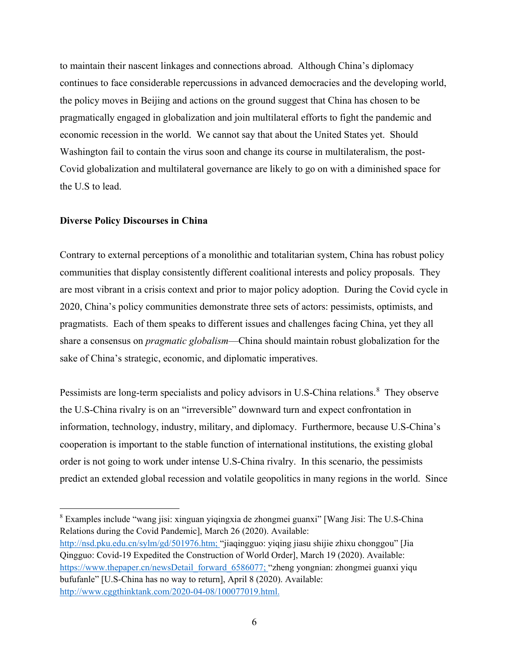to maintain their nascent linkages and connections abroad. Although China's diplomacy continues to face considerable repercussions in advanced democracies and the developing world, the policy moves in Beijing and actions on the ground suggest that China has chosen to be pragmatically engaged in globalization and join multilateral efforts to fight the pandemic and economic recession in the world. We cannot say that about the United States yet. Should Washington fail to contain the virus soon and change its course in multilateralism, the post-Covid globalization and multilateral governance are likely to go on with a diminished space for the U.S to lead.

## **Diverse Policy Discourses in China**

Contrary to external perceptions of a monolithic and totalitarian system, China has robust policy communities that display consistently different coalitional interests and policy proposals. They are most vibrant in a crisis context and prior to major policy adoption. During the Covid cycle in 2020, China's policy communities demonstrate three sets of actors: pessimists, optimists, and pragmatists. Each of them speaks to different issues and challenges facing China, yet they all share a consensus on *pragmatic globalism*—China should maintain robust globalization for the sake of China's strategic, economic, and diplomatic imperatives.

Pessimists are long-term specialists and policy advisors in U.S-China relations.<sup>[8](#page-5-0)</sup> They observe the U.S-China rivalry is on an "irreversible" downward turn and expect confrontation in information, technology, industry, military, and diplomacy. Furthermore, because U.S-China's cooperation is important to the stable function of international institutions, the existing global order is not going to work under intense U.S-China rivalry. In this scenario, the pessimists predict an extended global recession and volatile geopolitics in many regions in the world. Since

<span id="page-5-0"></span><sup>8</sup> Examples include "wang jisi: xinguan yiqingxia de zhongmei guanxi" [Wang Jisi: The U.S-China Relations during the Covid Pandemic], March 26 (2020). Available:

[http://nsd.pku.edu.cn/sylm/gd/501976.htm;](http://nsd.pku.edu.cn/sylm/gd/501976.htm) "jiaqingguo: yiqing jiasu shijie zhixu chonggou" [Jia Qingguo: Covid-19 Expedited the Construction of World Order], March 19 (2020). Available: [https://www.thepaper.cn/newsDetail\\_forward\\_6586077;](https://www.thepaper.cn/newsDetail_forward_6586077) "zheng yongnian: zhongmei guanxi yiqu bufufanle" [U.S-China has no way to return], April 8 (2020). Available: [http://www.cggthinktank.com/2020-04-08/100077019.html.](http://www.cggthinktank.com/2020-04-08/100077019.html)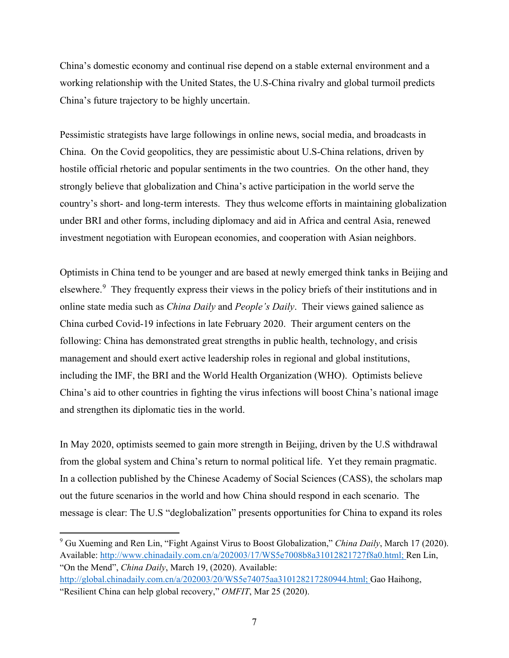China's domestic economy and continual rise depend on a stable external environment and a working relationship with the United States, the U.S-China rivalry and global turmoil predicts China's future trajectory to be highly uncertain.

Pessimistic strategists have large followings in online news, social media, and broadcasts in China. On the Covid geopolitics, they are pessimistic about U.S-China relations, driven by hostile official rhetoric and popular sentiments in the two countries. On the other hand, they strongly believe that globalization and China's active participation in the world serve the country's short- and long-term interests. They thus welcome efforts in maintaining globalization under BRI and other forms, including diplomacy and aid in Africa and central Asia, renewed investment negotiation with European economies, and cooperation with Asian neighbors.

Optimists in China tend to be younger and are based at newly emerged think tanks in Beijing and elsewhere.<sup>[9](#page-6-0)</sup> They frequently express their views in the policy briefs of their institutions and in online state media such as *China Daily* and *People's Daily*. Their views gained salience as China curbed Covid-19 infections in late February 2020. Their argument centers on the following: China has demonstrated great strengths in public health, technology, and crisis management and should exert active leadership roles in regional and global institutions, including the IMF, the BRI and the World Health Organization (WHO). Optimists believe China's aid to other countries in fighting the virus infections will boost China's national image and strengthen its diplomatic ties in the world.

In May 2020, optimists seemed to gain more strength in Beijing, driven by the U.S withdrawal from the global system and China's return to normal political life. Yet they remain pragmatic. In a collection published by the Chinese Academy of Social Sciences (CASS), the scholars map out the future scenarios in the world and how China should respond in each scenario. The message is clear: The U.S "deglobalization" presents opportunities for China to expand its roles

<span id="page-6-0"></span><sup>9</sup> Gu Xueming and Ren Lin, "Fight Against Virus to Boost Globalization," *China Daily*, March 17 (2020). Available: [http://www.chinadaily.com.cn/a/202003/17/WS5e7008b8a31012821727f8a0.html;](http://www.chinadaily.com.cn/a/202003/17/WS5e7008b8a31012821727f8a0.html) Ren Lin, "On the Mend", *China Daily*, March 19, (2020). Available:

[http://global.chinadaily.com.cn/a/202003/20/WS5e74075aa310128217280944.html;](http://global.chinadaily.com.cn/a/202003/20/WS5e74075aa310128217280944.html) Gao Haihong, "Resilient China can help global recovery," *OMFIT*, Mar 25 (2020).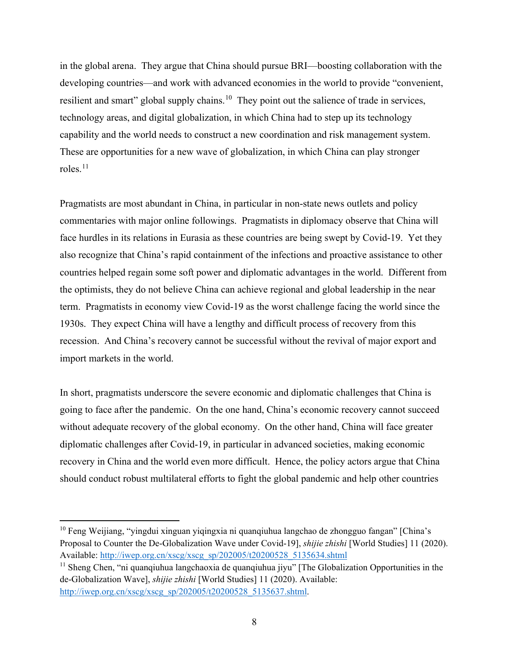in the global arena. They argue that China should pursue BRI—boosting collaboration with the developing countries—and work with advanced economies in the world to provide "convenient, resilient and smart" global supply chains.<sup>[10](#page-7-0)</sup> They point out the salience of trade in services, technology areas, and digital globalization, in which China had to step up its technology capability and the world needs to construct a new coordination and risk management system. These are opportunities for a new wave of globalization, in which China can play stronger roles. $^{11}$  $^{11}$  $^{11}$ 

Pragmatists are most abundant in China, in particular in non-state news outlets and policy commentaries with major online followings. Pragmatists in diplomacy observe that China will face hurdles in its relations in Eurasia as these countries are being swept by Covid-19. Yet they also recognize that China's rapid containment of the infections and proactive assistance to other countries helped regain some soft power and diplomatic advantages in the world. Different from the optimists, they do not believe China can achieve regional and global leadership in the near term. Pragmatists in economy view Covid-19 as the worst challenge facing the world since the 1930s. They expect China will have a lengthy and difficult process of recovery from this recession. And China's recovery cannot be successful without the revival of major export and import markets in the world.

In short, pragmatists underscore the severe economic and diplomatic challenges that China is going to face after the pandemic. On the one hand, China's economic recovery cannot succeed without adequate recovery of the global economy. On the other hand, China will face greater diplomatic challenges after Covid-19, in particular in advanced societies, making economic recovery in China and the world even more difficult. Hence, the policy actors argue that China should conduct robust multilateral efforts to fight the global pandemic and help other countries

<span id="page-7-0"></span><sup>&</sup>lt;sup>10</sup> Feng Weijiang, "yingdui xinguan yiqingxia ni quanqiuhua langchao de zhongguo fangan" [China's Proposal to Counter the De-Globalization Wave under Covid-19], *shijie zhishi* [World Studies] 11 (2020). Available: [http://iwep.org.cn/xscg/xscg\\_sp/202005/t20200528\\_5135634.shtml](http://iwep.org.cn/xscg/xscg_sp/202005/t20200528_5135634.shtml)

<span id="page-7-1"></span> $11$  Sheng Chen, "ni quanqiuhua langchaoxia de quanqiuhua jiyu" [The Globalization Opportunities in the de-Globalization Wave], *shijie zhishi* [World Studies] 11 (2020). Available: [http://iwep.org.cn/xscg/xscg\\_sp/202005/t20200528\\_5135637.shtml.](http://iwep.org.cn/xscg/xscg_sp/202005/t20200528_5135637.shtml)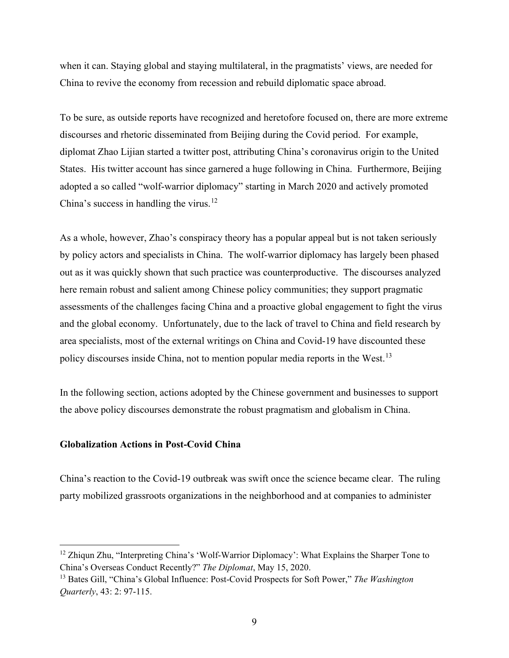when it can. Staying global and staying multilateral, in the pragmatists' views, are needed for China to revive the economy from recession and rebuild diplomatic space abroad.

To be sure, as outside reports have recognized and heretofore focused on, there are more extreme discourses and rhetoric disseminated from Beijing during the Covid period. For example, diplomat Zhao Lijian started a twitter post, attributing China's coronavirus origin to the United States. His twitter account has since garnered a huge following in China. Furthermore, Beijing adopted a so called "wolf-warrior diplomacy" starting in March 2020 and actively promoted China's success in handling the virus.<sup>[12](#page-8-0)</sup>

As a whole, however, Zhao's conspiracy theory has a popular appeal but is not taken seriously by policy actors and specialists in China. The wolf-warrior diplomacy has largely been phased out as it was quickly shown that such practice was counterproductive. The discourses analyzed here remain robust and salient among Chinese policy communities; they support pragmatic assessments of the challenges facing China and a proactive global engagement to fight the virus and the global economy. Unfortunately, due to the lack of travel to China and field research by area specialists, most of the external writings on China and Covid-19 have discounted these policy discourses inside China, not to mention popular media reports in the West.<sup>13</sup>

In the following section, actions adopted by the Chinese government and businesses to support the above policy discourses demonstrate the robust pragmatism and globalism in China.

# **Globalization Actions in Post-Covid China**

China's reaction to the Covid-19 outbreak was swift once the science became clear. The ruling party mobilized grassroots organizations in the neighborhood and at companies to administer

<span id="page-8-0"></span> $12$  Zhiqun Zhu, "Interpreting China's 'Wolf-Warrior Diplomacy': What Explains the Sharper Tone to China's Overseas Conduct Recently?" *The Diplomat*, May 15, 2020.

<span id="page-8-1"></span><sup>13</sup> Bates Gill, "China's Global Influence: Post-Covid Prospects for Soft Power," *The Washington Quarterly*, 43: 2: 97-115.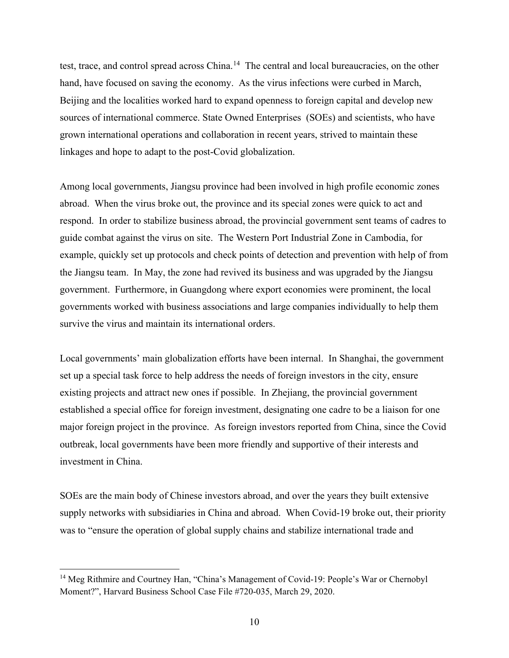test, trace, and control spread across China.<sup>[14](#page-9-0)</sup> The central and local bureaucracies, on the other hand, have focused on saving the economy. As the virus infections were curbed in March, Beijing and the localities worked hard to expand openness to foreign capital and develop new sources of international commerce. State Owned Enterprises (SOEs) and scientists, who have grown international operations and collaboration in recent years, strived to maintain these linkages and hope to adapt to the post-Covid globalization.

Among local governments, Jiangsu province had been involved in high profile economic zones abroad. When the virus broke out, the province and its special zones were quick to act and respond. In order to stabilize business abroad, the provincial government sent teams of cadres to guide combat against the virus on site. The Western Port Industrial Zone in Cambodia, for example, quickly set up protocols and check points of detection and prevention with help of from the Jiangsu team. In May, the zone had revived its business and was upgraded by the Jiangsu government. Furthermore, in Guangdong where export economies were prominent, the local governments worked with business associations and large companies individually to help them survive the virus and maintain its international orders.

Local governments' main globalization efforts have been internal. In Shanghai, the government set up a special task force to help address the needs of foreign investors in the city, ensure existing projects and attract new ones if possible. In Zhejiang, the provincial government established a special office for foreign investment, designating one cadre to be a liaison for one major foreign project in the province. As foreign investors reported from China, since the Covid outbreak, local governments have been more friendly and supportive of their interests and investment in China.

SOEs are the main body of Chinese investors abroad, and over the years they built extensive supply networks with subsidiaries in China and abroad. When Covid-19 broke out, their priority was to "ensure the operation of global supply chains and stabilize international trade and

<span id="page-9-0"></span><sup>&</sup>lt;sup>14</sup> Meg Rithmire and Courtney Han, "China's Management of Covid-19: People's War or Chernobyl Moment?", Harvard Business School Case File #720-035, March 29, 2020.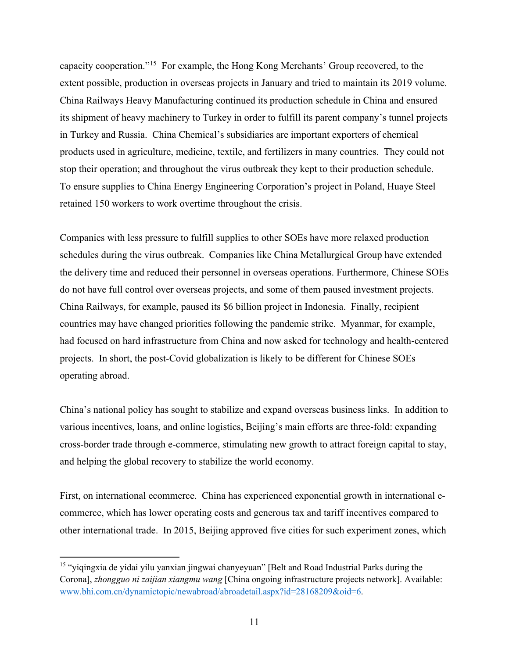capacity cooperation."[15](#page-10-0) For example, the Hong Kong Merchants' Group recovered, to the extent possible, production in overseas projects in January and tried to maintain its 2019 volume. China Railways Heavy Manufacturing continued its production schedule in China and ensured its shipment of heavy machinery to Turkey in order to fulfill its parent company's tunnel projects in Turkey and Russia. China Chemical's subsidiaries are important exporters of chemical products used in agriculture, medicine, textile, and fertilizers in many countries. They could not stop their operation; and throughout the virus outbreak they kept to their production schedule. To ensure supplies to China Energy Engineering Corporation's project in Poland, Huaye Steel retained 150 workers to work overtime throughout the crisis.

Companies with less pressure to fulfill supplies to other SOEs have more relaxed production schedules during the virus outbreak. Companies like China Metallurgical Group have extended the delivery time and reduced their personnel in overseas operations. Furthermore, Chinese SOEs do not have full control over overseas projects, and some of them paused investment projects. China Railways, for example, paused its \$6 billion project in Indonesia. Finally, recipient countries may have changed priorities following the pandemic strike. Myanmar, for example, had focused on hard infrastructure from China and now asked for technology and health-centered projects. In short, the post-Covid globalization is likely to be different for Chinese SOEs operating abroad.

China's national policy has sought to stabilize and expand overseas business links. In addition to various incentives, loans, and online logistics, Beijing's main efforts are three-fold: expanding cross-border trade through e-commerce, stimulating new growth to attract foreign capital to stay, and helping the global recovery to stabilize the world economy.

First, on international ecommerce. China has experienced exponential growth in international ecommerce, which has lower operating costs and generous tax and tariff incentives compared to other international trade. In 2015, Beijing approved five cities for such experiment zones, which

<span id="page-10-0"></span><sup>&</sup>lt;sup>15</sup> "yiqingxia de yidai yilu yanxian jingwai chanyeyuan" [Belt and Road Industrial Parks during the Corona], *zhongguo ni zaijian xiangmu wang* [China ongoing infrastructure projects network]. Available: [www.bhi.com.cn/dynamictopic/newabroad/abroadetail.aspx?id=28168209&oid=6.](http://www.bhi.com.cn/dynamictopic/newabroad/abroadetail.aspx?id=28168209&oid=6)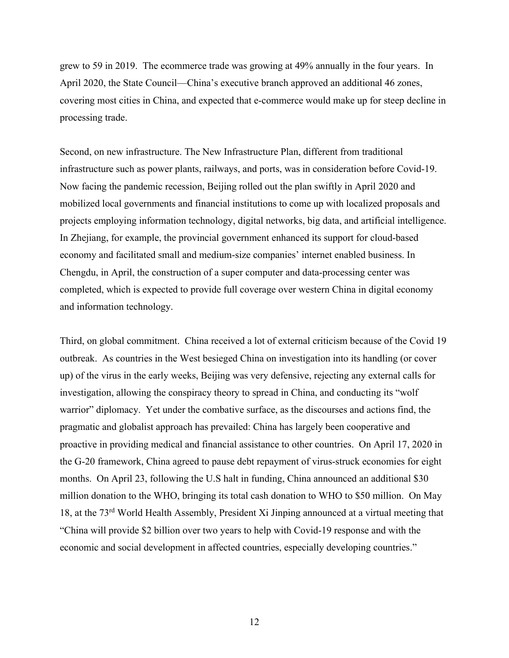grew to 59 in 2019. The ecommerce trade was growing at 49% annually in the four years. In April 2020, the State Council—China's executive branch approved an additional 46 zones, covering most cities in China, and expected that e-commerce would make up for steep decline in processing trade.

Second, on new infrastructure. The New Infrastructure Plan, different from traditional infrastructure such as power plants, railways, and ports, was in consideration before Covid-19. Now facing the pandemic recession, Beijing rolled out the plan swiftly in April 2020 and mobilized local governments and financial institutions to come up with localized proposals and projects employing information technology, digital networks, big data, and artificial intelligence. In Zhejiang, for example, the provincial government enhanced its support for cloud-based economy and facilitated small and medium-size companies' internet enabled business. In Chengdu, in April, the construction of a super computer and data-processing center was completed, which is expected to provide full coverage over western China in digital economy and information technology.

Third, on global commitment. China received a lot of external criticism because of the Covid 19 outbreak. As countries in the West besieged China on investigation into its handling (or cover up) of the virus in the early weeks, Beijing was very defensive, rejecting any external calls for investigation, allowing the conspiracy theory to spread in China, and conducting its "wolf warrior" diplomacy. Yet under the combative surface, as the discourses and actions find, the pragmatic and globalist approach has prevailed: China has largely been cooperative and proactive in providing medical and financial assistance to other countries. On April 17, 2020 in the G-20 framework, China agreed to pause debt repayment of virus-struck economies for eight months. On April 23, following the U.S halt in funding, China announced an additional \$30 million donation to the WHO, bringing its total cash donation to WHO to \$50 million. On May 18, at the 73rd World Health Assembly, President Xi Jinping announced at a virtual meeting that "China will provide \$2 billion over two years to help with Covid-19 response and with the economic and social development in affected countries, especially developing countries."

12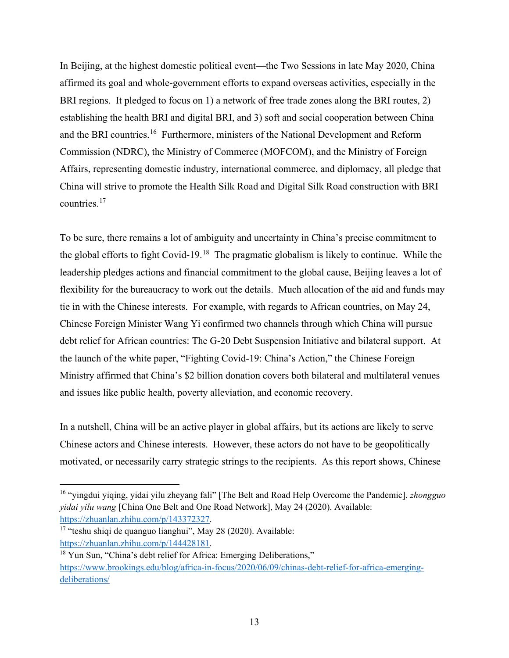In Beijing, at the highest domestic political event—the Two Sessions in late May 2020, China affirmed its goal and whole-government efforts to expand overseas activities, especially in the BRI regions. It pledged to focus on 1) a network of free trade zones along the BRI routes, 2) establishing the health BRI and digital BRI, and 3) soft and social cooperation between China and the BRI countries.<sup>[16](#page-12-0)</sup> Furthermore, ministers of the National Development and Reform Commission (NDRC), the Ministry of Commerce (MOFCOM), and the Ministry of Foreign Affairs, representing domestic industry, international commerce, and diplomacy, all pledge that China will strive to promote the Health Silk Road and Digital Silk Road construction with BRI countries.[17](#page-12-1)

To be sure, there remains a lot of ambiguity and uncertainty in China's precise commitment to the global efforts to fight Covid-19.[18](#page-12-2) The pragmatic globalism is likely to continue. While the leadership pledges actions and financial commitment to the global cause, Beijing leaves a lot of flexibility for the bureaucracy to work out the details. Much allocation of the aid and funds may tie in with the Chinese interests. For example, with regards to African countries, on May 24, Chinese Foreign Minister Wang Yi confirmed two channels through which China will pursue debt relief for African countries: The G-20 Debt Suspension Initiative and bilateral support. At the launch of the white paper, "Fighting Covid-19: China's Action," the Chinese Foreign Ministry affirmed that China's \$2 billion donation covers both bilateral and multilateral venues and issues like public health, poverty alleviation, and economic recovery.

In a nutshell, China will be an active player in global affairs, but its actions are likely to serve Chinese actors and Chinese interests. However, these actors do not have to be geopolitically motivated, or necessarily carry strategic strings to the recipients. As this report shows, Chinese

<span id="page-12-0"></span><sup>16</sup> "yingdui yiqing, yidai yilu zheyang fali" [The Belt and Road Help Overcome the Pandemic], *zhongguo yidai yilu wang* [China One Belt and One Road Network], May 24 (2020). Available:

<span id="page-12-1"></span>https://zhuanlan.zhihu.com/p/143372327.<br><sup>17</sup> "teshu shiqi de quanguo lianghui", May 28 (2020). Available: [https://zhuanlan.zhihu.com/p/144428181.](https://zhuanlan.zhihu.com/p/144428181)

<span id="page-12-2"></span><sup>&</sup>lt;sup>18</sup> Yun Sun, "China's debt relief for Africa: Emerging Deliberations," [https://www.brookings.edu/blog/africa-in-focus/2020/06/09/chinas-debt-relief-for-africa-emerging](https://www.brookings.edu/blog/africa-in-focus/2020/06/09/chinas-debt-relief-for-africa-emerging-deliberations/)[deliberations/](https://www.brookings.edu/blog/africa-in-focus/2020/06/09/chinas-debt-relief-for-africa-emerging-deliberations/)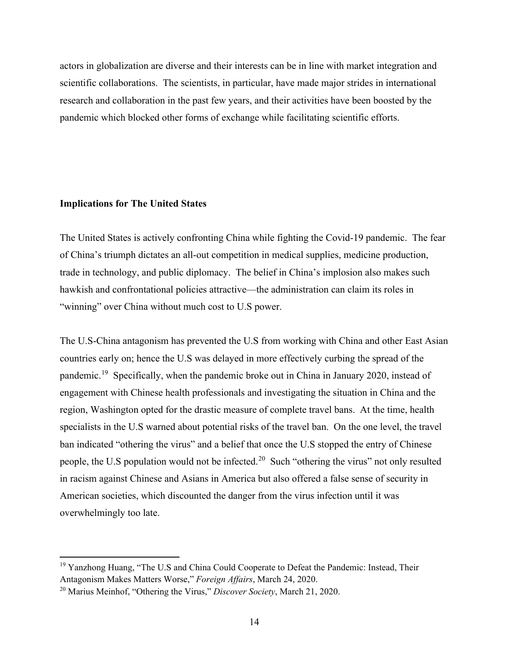actors in globalization are diverse and their interests can be in line with market integration and scientific collaborations. The scientists, in particular, have made major strides in international research and collaboration in the past few years, and their activities have been boosted by the pandemic which blocked other forms of exchange while facilitating scientific efforts.

# **Implications for The United States**

The United States is actively confronting China while fighting the Covid-19 pandemic. The fear of China's triumph dictates an all-out competition in medical supplies, medicine production, trade in technology, and public diplomacy. The belief in China's implosion also makes such hawkish and confrontational policies attractive—the administration can claim its roles in "winning" over China without much cost to U.S power.

The U.S-China antagonism has prevented the U.S from working with China and other East Asian countries early on; hence the U.S was delayed in more effectively curbing the spread of the pandemic.[19](#page-13-0) Specifically, when the pandemic broke out in China in January 2020, instead of engagement with Chinese health professionals and investigating the situation in China and the region, Washington opted for the drastic measure of complete travel bans. At the time, health specialists in the U.S warned about potential risks of the travel ban. On the one level, the travel ban indicated "othering the virus" and a belief that once the U.S stopped the entry of Chinese people, the U.S population would not be infected.<sup>[20](#page-13-1)</sup> Such "othering the virus" not only resulted in racism against Chinese and Asians in America but also offered a false sense of security in American societies, which discounted the danger from the virus infection until it was overwhelmingly too late.

<span id="page-13-0"></span><sup>&</sup>lt;sup>19</sup> Yanzhong Huang, "The U.S and China Could Cooperate to Defeat the Pandemic: Instead, Their Antagonism Makes Matters Worse," *Foreign Affairs*, March 24, 2020.

<span id="page-13-1"></span><sup>20</sup> Marius Meinhof, "Othering the Virus," *Discover Society*, March 21, 2020.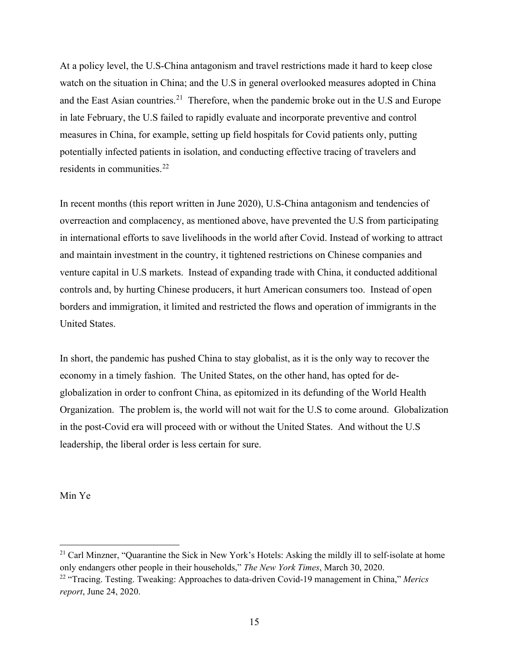At a policy level, the U.S-China antagonism and travel restrictions made it hard to keep close watch on the situation in China; and the U.S in general overlooked measures adopted in China and the East Asian countries.<sup>[21](#page-14-0)</sup> Therefore, when the pandemic broke out in the U.S and Europe in late February, the U.S failed to rapidly evaluate and incorporate preventive and control measures in China, for example, setting up field hospitals for Covid patients only, putting potentially infected patients in isolation, and conducting effective tracing of travelers and residents in communities.<sup>[22](#page-14-1)</sup>

In recent months (this report written in June 2020), U.S-China antagonism and tendencies of overreaction and complacency, as mentioned above, have prevented the U.S from participating in international efforts to save livelihoods in the world after Covid. Instead of working to attract and maintain investment in the country, it tightened restrictions on Chinese companies and venture capital in U.S markets. Instead of expanding trade with China, it conducted additional controls and, by hurting Chinese producers, it hurt American consumers too. Instead of open borders and immigration, it limited and restricted the flows and operation of immigrants in the United States.

In short, the pandemic has pushed China to stay globalist, as it is the only way to recover the economy in a timely fashion. The United States, on the other hand, has opted for deglobalization in order to confront China, as epitomized in its defunding of the World Health Organization. The problem is, the world will not wait for the U.S to come around. Globalization in the post-Covid era will proceed with or without the United States. And without the U.S leadership, the liberal order is less certain for sure.

Min Ye

<span id="page-14-0"></span> $21$  Carl Minzner, "Quarantine the Sick in New York's Hotels: Asking the mildly ill to self-isolate at home only endangers other people in their households," *The New York Times*, March 30, 2020.

<span id="page-14-1"></span><sup>22</sup> "Tracing. Testing. Tweaking: Approaches to data-driven Covid-19 management in China," *Merics report*, June 24, 2020.